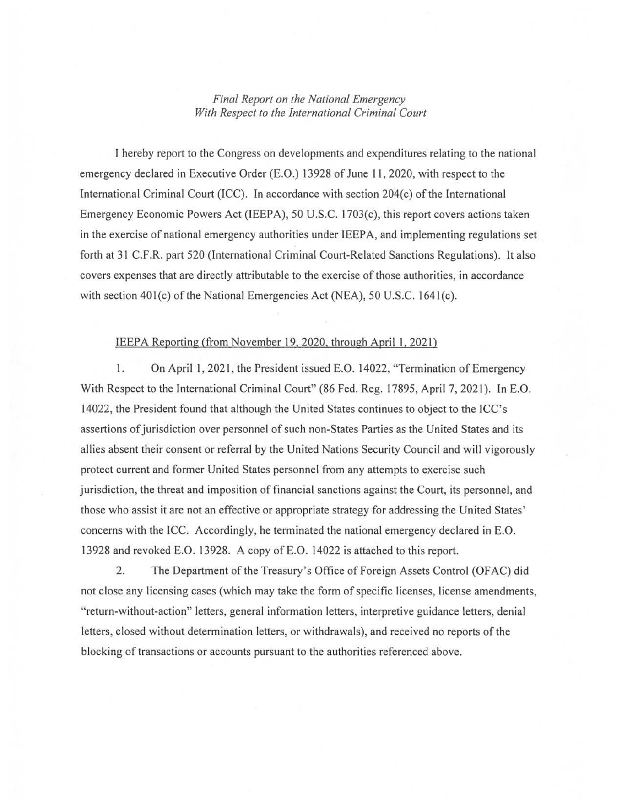## *Final Report on the National Emergency With Respect to the International Criminal Court*

I hereby report to the Congress on developments and expenditures relating to the national emergency declared in Executive Order (E.O.) 13928 of June 11 , 2020, with respect to the International Criminal Court  $(ICC)$ . In accordance with section 204 $(c)$  of the International Emergency Economic Powers Act (IEEPA), 50 U.S.C. 1703(c), this report covers actions taken in the exercise of national emergency authorities under IEEP A, and implementing regulations set forth at 31 C.F .R. part 520 (International Criminal Court-Related Sanctions Regulations). It also covers expenses that are directly attributable to the exercise of those authorities, in accordance with section  $401(c)$  of the National Emergencies Act (NEA), 50 U.S.C. 1641(c).

## IEEPA Reporting (from November 19,2020, through April 1, 2021)

1. On April 1, 2021, the President issued E.O. 14022, "Termination of Emergency With Respect to the International Criminal Court" (86 Fed. Reg. 17895, April 7, 2021). In E.O. 14022, the President found that although the United States continues to object to the ICC's assertions of jurisdiction over personnel of such non-States Parties as the United States and its allies absent their consent or referral by the United Nations Security Council and will vigorously protect current and former United States personnel from any attempts to exercise such jurisdiction, the threat and imposition of financial sanctions against the Court, its personnel, and those who assist it are not an effective or appropriate strategy for addressing the United States' concerns with the ICC. Accordingly, he terminated the national emergency declared in E.O. 13928 and revoked E.O. 13928. A copy of E.O. 14022 is attached to this report.

2. The Department of the Treasury's Office of Foreign Assets Control (OFAC) did not close any licensing cases (which may take the form of specific licenses, license amendments, " return-without-action" letters, general information letters, interpretive guidance letters, denial letters, closed without determination letters, or withdrawals), and received no reports of the blocking of transactions or accounts pursuant to the authorities referenced above.